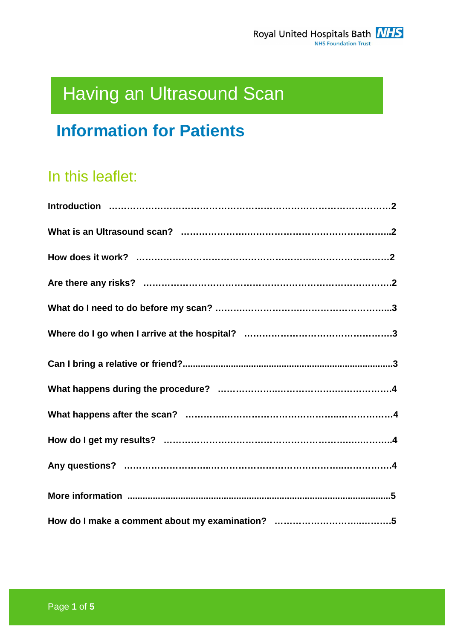# Having an Ultrasound Scan

## **Information for Patients**

## In this leaflet: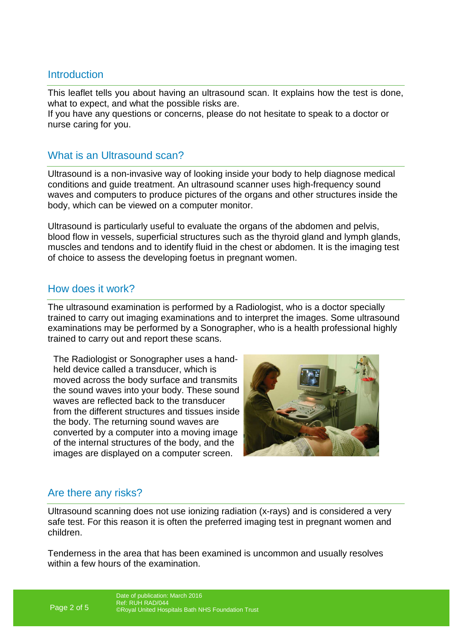### **Introduction**

This leaflet tells you about having an ultrasound scan. It explains how the test is done, what to expect, and what the possible risks are.

If you have any questions or concerns, please do not hesitate to speak to a doctor or nurse caring for you.

#### What is an Ultrasound scan?

Ultrasound is a non-invasive way of looking inside your body to help diagnose medical conditions and guide treatment. An ultrasound scanner uses high-frequency sound waves and computers to produce pictures of the organs and other structures inside the body, which can be viewed on a computer monitor.

Ultrasound is particularly useful to evaluate the organs of the abdomen and pelvis, blood flow in vessels, superficial structures such as the thyroid gland and lymph glands, muscles and tendons and to identify fluid in the chest or abdomen. It is the imaging test of choice to assess the developing foetus in pregnant women.

### How does it work?

The ultrasound examination is performed by a Radiologist, who is a doctor specially trained to carry out imaging examinations and to interpret the images. Some ultrasound examinations may be performed by a Sonographer, who is a health professional highly trained to carry out and report these scans.

The Radiologist or Sonographer uses a handheld device called a transducer, which is moved across the body surface and transmits the sound waves into your body. These sound waves are reflected back to the transducer from the different structures and tissues inside the body. The returning sound waves are converted by a computer into a moving image of the internal structures of the body, and the images are displayed on a computer screen.



## Are there any risks?

Ultrasound scanning does not use ionizing radiation (x-rays) and is considered a very safe test. For this reason it is often the preferred imaging test in pregnant women and children.

Tenderness in the area that has been examined is uncommon and usually resolves within a few hours of the examination.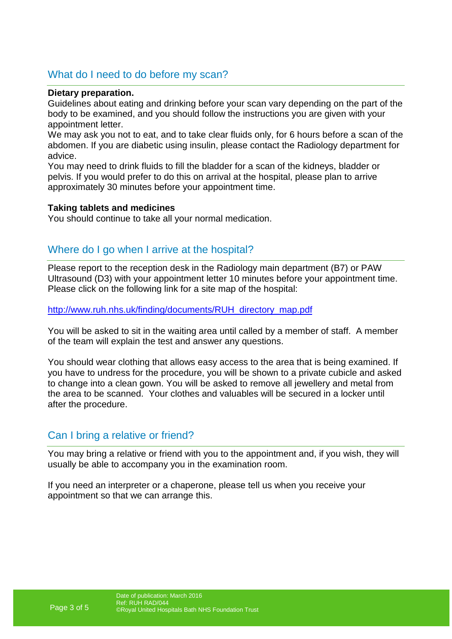## What do I need to do before my scan?

#### **Dietary preparation.**

Guidelines about eating and drinking before your scan vary depending on the part of the body to be examined, and you should follow the instructions you are given with your appointment letter.

We may ask you not to eat, and to take clear fluids only, for 6 hours before a scan of the abdomen. If you are diabetic using insulin, please contact the Radiology department for advice.

You may need to drink fluids to fill the bladder for a scan of the kidneys, bladder or pelvis. If you would prefer to do this on arrival at the hospital, please plan to arrive approximately 30 minutes before your appointment time.

#### **Taking tablets and medicines**

You should continue to take all your normal medication.

## Where do I go when I arrive at the hospital?

Please report to the reception desk in the Radiology main department (B7) or PAW Ultrasound (D3) with your appointment letter 10 minutes before your appointment time. Please click on the following link for a site map of the hospital:

http://www.ruh.nhs.uk/finding/documents/RUH\_directory\_map.pdf

You will be asked to sit in the waiting area until called by a member of staff. A member of the team will explain the test and answer any questions.

You should wear clothing that allows easy access to the area that is being examined. If you have to undress for the procedure, you will be shown to a private cubicle and asked to change into a clean gown. You will be asked to remove all jewellery and metal from the area to be scanned. Your clothes and valuables will be secured in a locker until after the procedure.

## Can I bring a relative or friend?

You may bring a relative or friend with you to the appointment and, if you wish, they will usually be able to accompany you in the examination room.

If you need an interpreter or a chaperone, please tell us when you receive your appointment so that we can arrange this.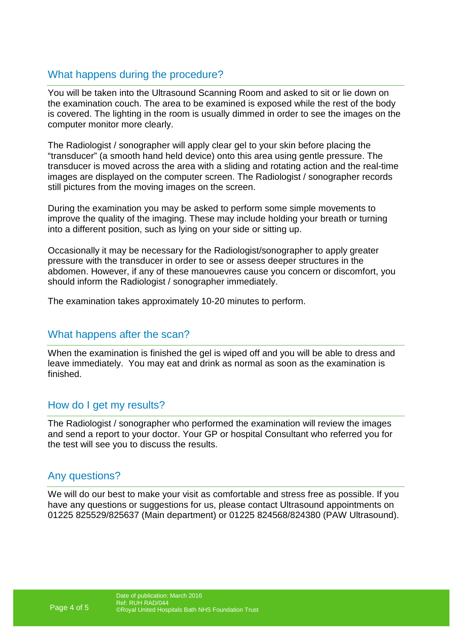## What happens during the procedure?

You will be taken into the Ultrasound Scanning Room and asked to sit or lie down on the examination couch. The area to be examined is exposed while the rest of the body is covered. The lighting in the room is usually dimmed in order to see the images on the computer monitor more clearly.

The Radiologist / sonographer will apply clear gel to your skin before placing the "transducer" (a smooth hand held device) onto this area using gentle pressure. The transducer is moved across the area with a sliding and rotating action and the real-time images are displayed on the computer screen. The Radiologist / sonographer records still pictures from the moving images on the screen.

During the examination you may be asked to perform some simple movements to improve the quality of the imaging. These may include holding your breath or turning into a different position, such as lying on your side or sitting up.

Occasionally it may be necessary for the Radiologist/sonographer to apply greater pressure with the transducer in order to see or assess deeper structures in the abdomen. However, if any of these manouevres cause you concern or discomfort, you should inform the Radiologist / sonographer immediately.

The examination takes approximately 10-20 minutes to perform.

#### What happens after the scan?

When the examination is finished the gel is wiped off and you will be able to dress and leave immediately. You may eat and drink as normal as soon as the examination is finished.

#### How do I get my results?

The Radiologist / sonographer who performed the examination will review the images and send a report to your doctor. Your GP or hospital Consultant who referred you for the test will see you to discuss the results.

## Any questions?

We will do our best to make your visit as comfortable and stress free as possible. If you have any questions or suggestions for us, please contact Ultrasound appointments on 01225 825529/825637 (Main department) or 01225 824568/824380 (PAW Ultrasound).